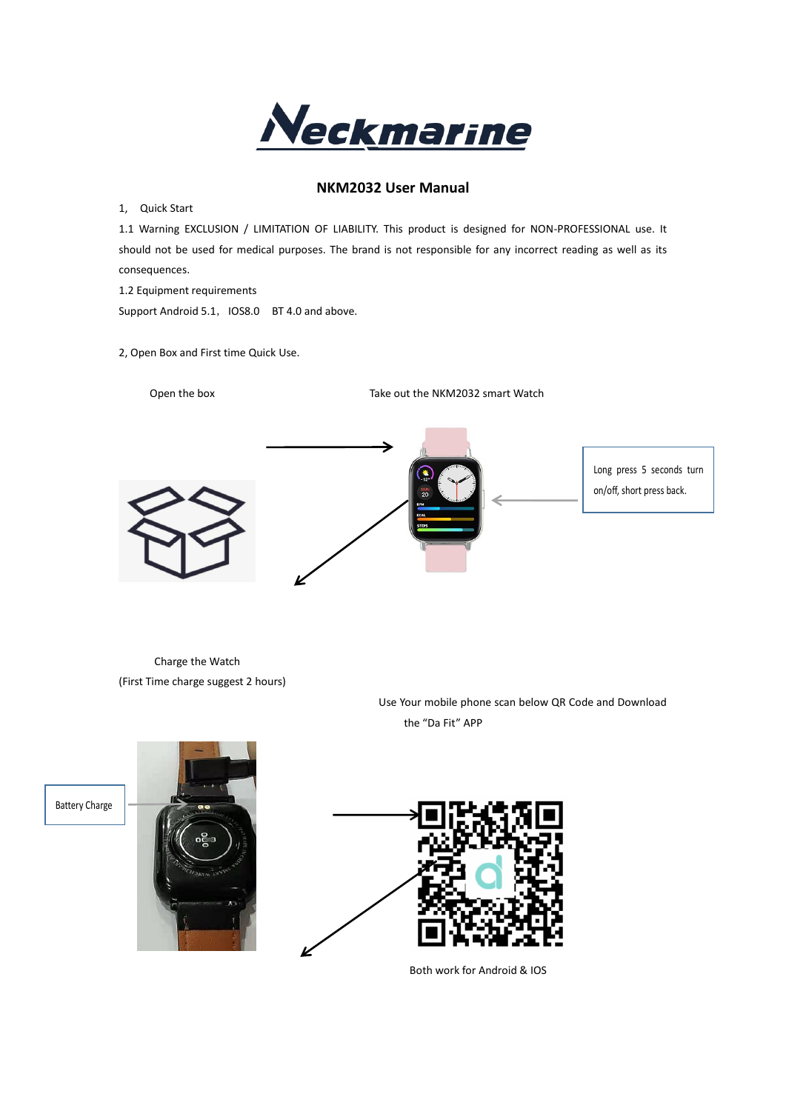

# **NKM2032 User Manual**

1, Quick Start

1.1 Warning EXCLUSION / LIMITATION OF LIABILITY. This product is designed for NON-PROFESSIONAL use. It should not be used for medical purposes. The brand is not responsible for any incorrect reading as well as its consequences.

1.2 Equipment requirements

Support Android 5.1, IOS8.0 BT 4.0 and above.

2, Open Box and First time Quick Use.

Open the box Take out the NKM2032 smart Watch



Charge the Watch (First Time charge suggest 2 hours)

> Use Your mobile phone scan below QR Code and Download the "Da Fit" APP

Battery Charge



Both work for Android & IOS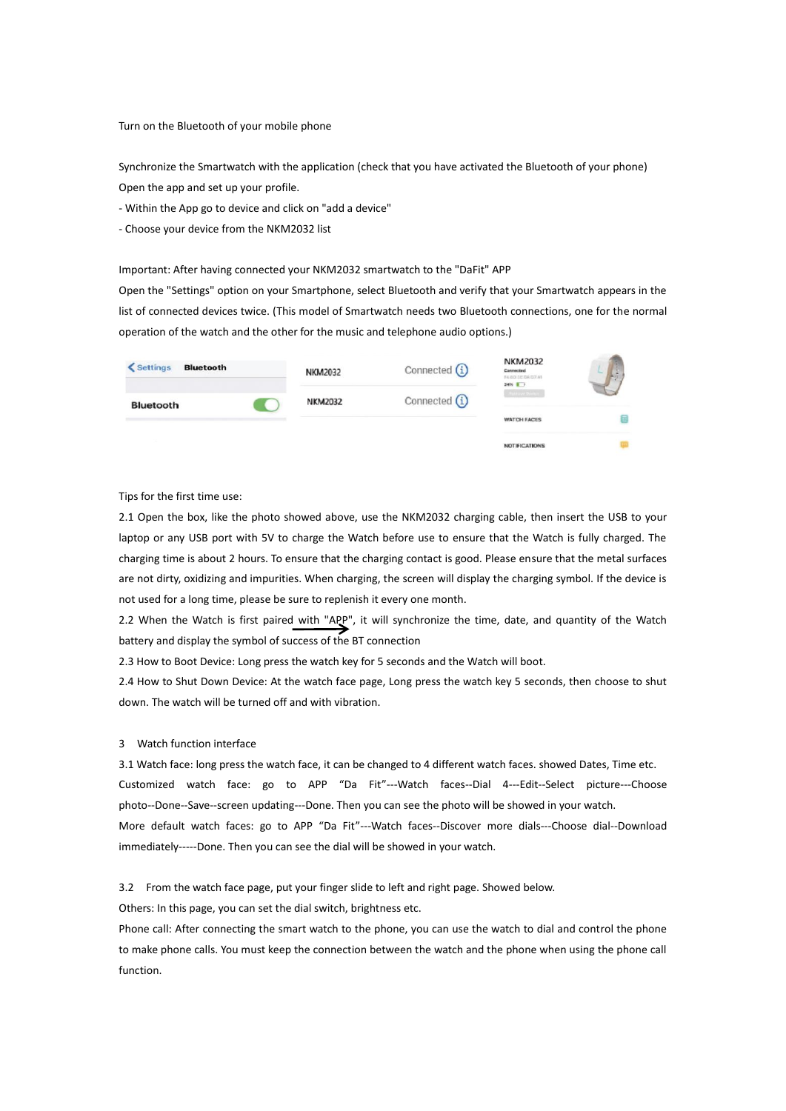Turn on the Bluetooth of your mobile phone

Synchronize the Smartwatch with the application (check that you have activated the Bluetooth of your phone) Open the app and set up your profile.

- Within the App go to device and click on "add a device"

- Choose your device from the NKM2032 list

### Important: After having connected your NKM2032 smartwatch to the "DaFit" APP

Open the "Settings" option on your Smartphone, select Bluetooth and verify that your Smartwatch appears in the list of connected devices twice. (This model of Smartwatch needs two Bluetooth connections, one for the normal operation of the watch and the other for the music and telephone audio options.)

| < Settings<br><b>Bluetooth</b> | <b>NKM2032</b> | Connected $(i)$ | <b>NKM2032</b><br>Cannected<br>FAIRD DE DAILY AT<br>$34%$ $1$ |  |
|--------------------------------|----------------|-----------------|---------------------------------------------------------------|--|
| Bluetooth                      | <b>NKM2032</b> | Connected $(i)$ |                                                               |  |
|                                |                |                 | <b>WATCH FACES</b>                                            |  |

Tips for the first time use:

2.1 Open the box, like the photo showed above, use the NKM2032 charging cable, then insert the USB to your laptop or any USB port with 5V to charge the Watch before use to ensure that the Watch is fully charged. The charging time is about 2 hours. To ensure that the charging contact is good. Please ensure that the metal surfaces are not dirty, oxidizing and impurities. When charging, the screen will display the charging symbol. If the device is not used for a long time, please be sure to replenish it every one month.

2.2 When the Watch is first paired with "APP", it will synchronize the time, date, and quantity of the Watch battery and display the symbol of success of the BT connection

2.3 How to Boot Device: Long press the watch key for 5 seconds and the Watch will boot.

2.4 How to Shut Down Device: At the watch face page, Long press the watch key 5 seconds, then choose to shut down. The watch will be turned off and with vibration.

## 3 Watch function interface

3.1 Watch face: long press the watch face, it can be changed to 4 different watch faces. showed Dates, Time etc. Customized watch face: go to APP "Da Fit"---Watch faces--Dial 4---Edit--Select picture---Choose photo--Done--Save--screen updating---Done. Then you can see the photo will be showed in your watch. More default watch faces: go to APP "Da Fit"---Watch faces--Discover more dials---Choose dial--Download immediately-----Done. Then you can see the dial will be showed in your watch.

3.2 From the watch face page, put your finger slide to left and right page. Showed below.

Others: In this page, you can set the dial switch, brightness etc.

Phone call: After connecting the smart watch to the phone, you can use the watch to dial and control the phone to make phone calls. You must keep the connection between the watch and the phone when using the phone call function.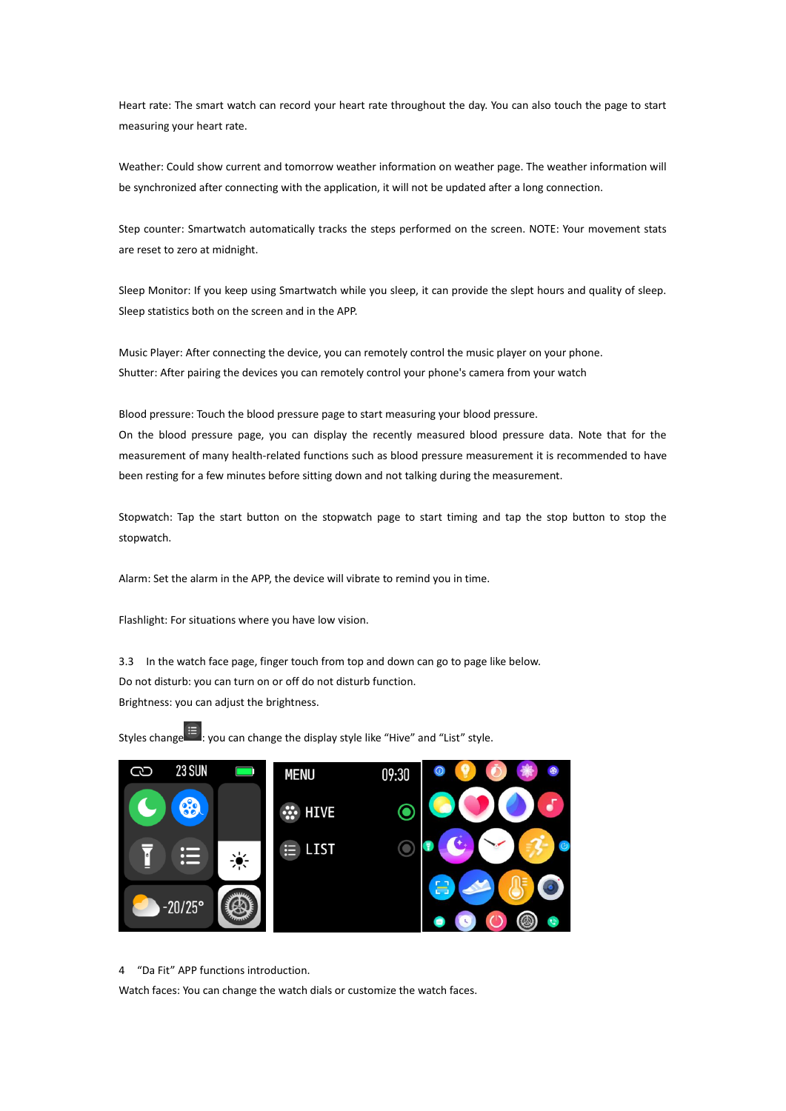Heart rate: The smart watch can record your heart rate throughout the day. You can also touch the page to start measuring your heart rate.

Weather: Could show current and tomorrow weather information on weather page. The weather information will be synchronized after connecting with the application, it will not be updated after a long connection.

Step counter: Smartwatch automatically tracks the steps performed on the screen. NOTE: Your movement stats are reset to zero at midnight.

Sleep Monitor: If you keep using Smartwatch while you sleep, it can provide the slept hours and quality of sleep. Sleep statistics both on the screen and in the APP.

Music Player: After connecting the device, you can remotely control the music player on your phone. Shutter: After pairing the devices you can remotely control your phone's camera from your watch

Blood pressure: Touch the blood pressure page to start measuring your blood pressure. On the blood pressure page, you can display the recently measured blood pressure data. Note that for the measurement of many health-related functions such as blood pressure measurement it is recommended to have been resting for a few minutes before sitting down and not talking during the measurement.

Stopwatch: Tap the start button on the stopwatch page to start timing and tap the stop button to stop the stopwatch.

Alarm: Set the alarm in the APP, the device will vibrate to remind you in time.

Flashlight: For situations where you have low vision.

3.3 In the watch face page, finger touch from top and down can go to page like below. Do not disturb: you can turn on or off do not disturb function. Brightness: you can adjust the brightness.



Styles change  $\Xi$ : you can change the display style like "Hive" and "List" style.

4 "Da Fit" APP functions introduction.

Watch faces: You can change the watch dials or customize the watch faces.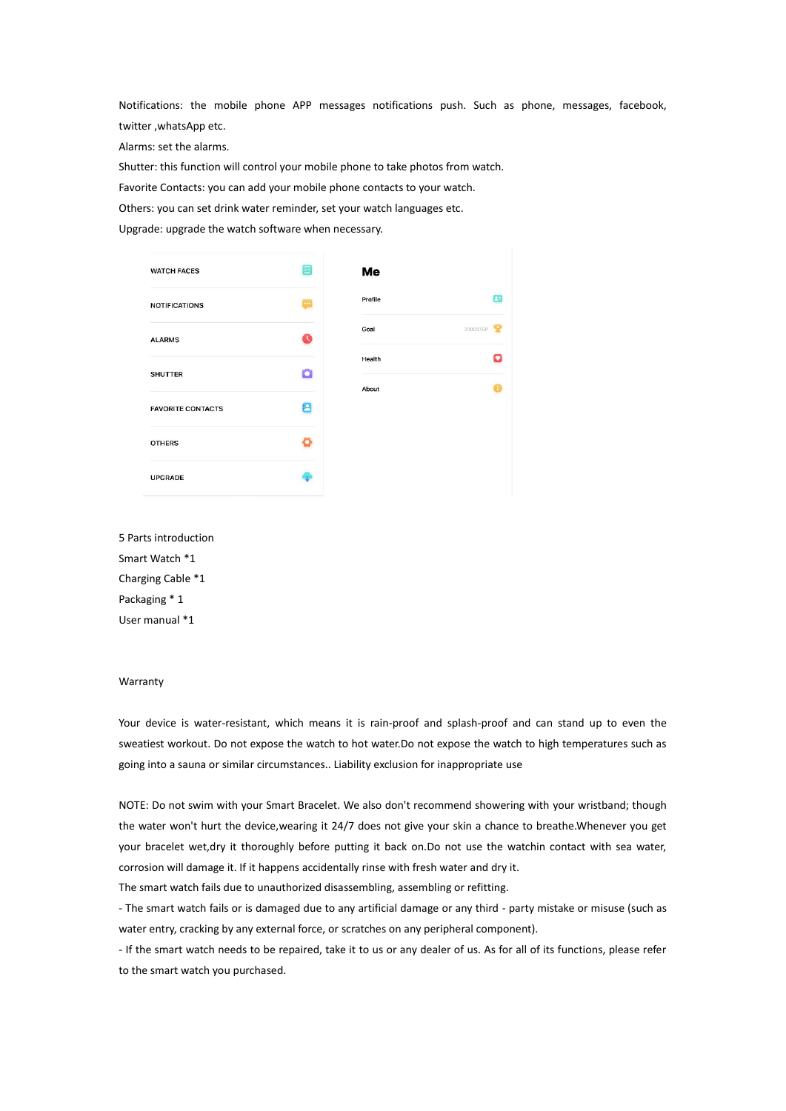Notifications: the mobile phone APP messages notifications push. Such as phone, messages, facebook, twitter ,whatsApp etc.

Alarms: set the alarms.

Shutter: this function will control your mobile phone to take photos from watch.

Favorite Contacts: you can add your mobile phone contacts to your watch.

Others: you can set drink water reminder, set your watch languages etc.

Upgrade: upgrade the watch software when necessary.

| <b>WATCH FACES</b>       | $\overline{\phantom{a}}$ | Me      |          |
|--------------------------|--------------------------|---------|----------|
| <b>NOTIFICATIONS</b>     |                          | Profile | 屈        |
| <b>ALARMS</b>            | a                        | Goal    | 7000STEP |
| <b>SHUTTER</b>           | Ō                        | Health  |          |
| <b>FAVORITE CONTACTS</b> | 8                        | About   |          |
|                          |                          |         |          |
| <b>OTHERS</b>            |                          |         |          |
| <b>UPGRADE</b>           |                          |         |          |

5 Parts introduction Smart Watch \*1 Charging Cable \*1 Packaging \* 1 User manual \*1

#### Warranty

Your device is water-resistant, which means it is rain-proof and splash-proof and can stand up to even the sweatiest workout. Do not expose the watch to hot water.Do not expose the watch to high temperatures such as going into a sauna or similar circumstances.. Liability exclusion for inappropriate use

NOTE: Do not swim with your Smart Bracelet. We also don't recommend showering with your wristband; though the water won't hurt the device,wearing it 24/7 does not give your skin a chance to breathe.Whenever you get your bracelet wet,dry it thoroughly before putting it back on.Do not use the watchin contact with sea water, corrosion will damage it. If it happens accidentally rinse with fresh water and dry it.

The smart watch fails due to unauthorized disassembling, assembling or refitting.

- The smart watch fails or is damaged due to any artificial damage or any third - party mistake or misuse (such as water entry, cracking by any external force, or scratches on any peripheral component).

- If the smart watch needs to be repaired, take it to us or any dealer of us. As for all of its functions, please refer to the smart watch you purchased.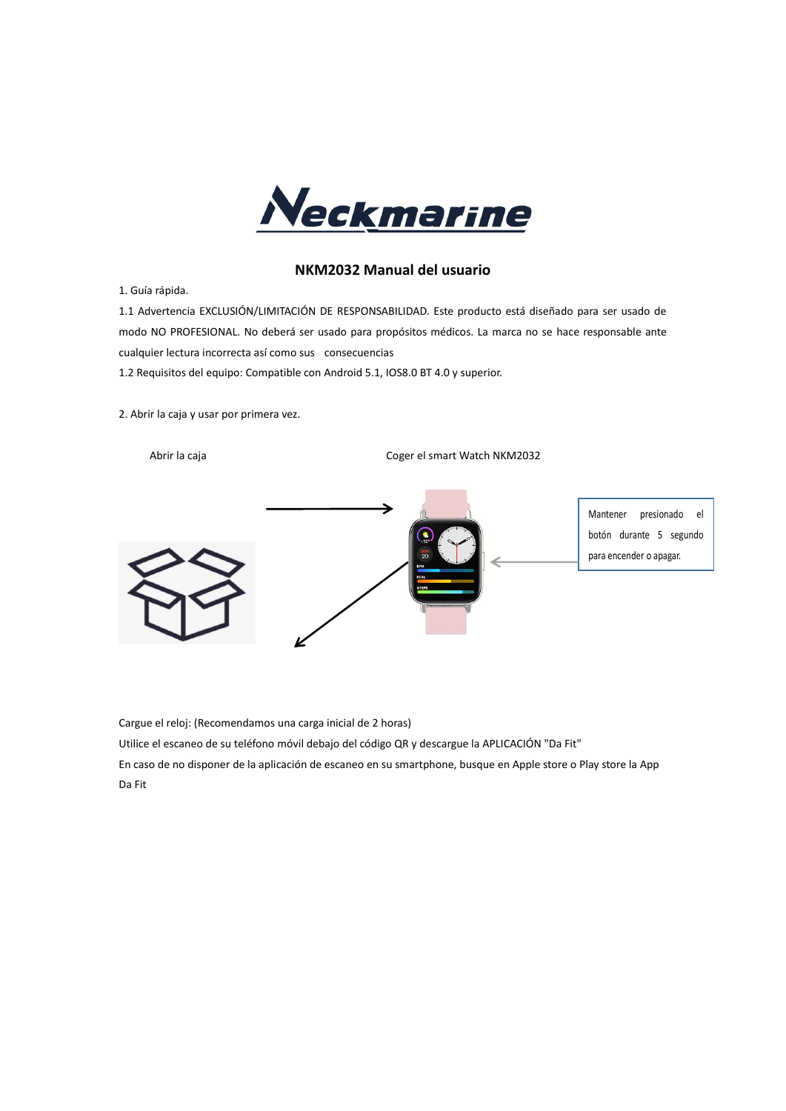

## **NKM2032 Manual del usuario**

1. Guía rápida.

1.1 Advertencia EXCLUSIÓN/LIMITACIÓN DE RESPONSABILIDAD. Este producto está diseñado para ser usado de modo NO PROFESIONAL. No deberá ser usado para propósitos médicos. La marca no se hace responsable ante cualquier lectura incorrecta así como sus consecuencias

1.2 Requisitos del equipo: Compatible con Android 5.1, IOS8.0 BT 4.0 y superior.

2. Abrir la caja y usar por primera vez.

Abrir la caja **Coger el smart Watch NKM2032** 



Cargue el reloj: (Recomendamos una carga inicial de 2 horas)

Utilice el escaneo de su teléfono móvil debajo del código QR y descargue la APLICACIÓN "Da Fit"

En caso de no disponer de la aplicación de escaneo en su smartphone, busque en Apple store o Play store la App Da Fit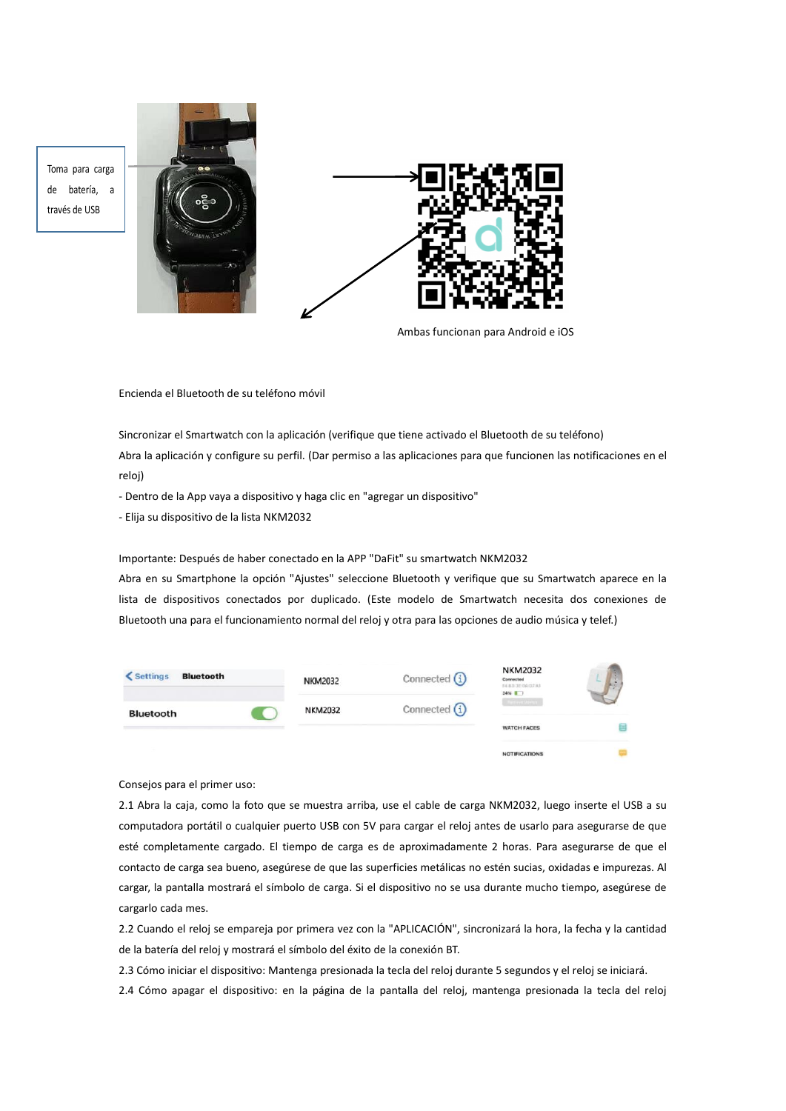Toma para carga de batería, a través de USB





Ambas funcionan para Android e iOS

Encienda el Bluetooth de su teléfono móvil

Sincronizar el Smartwatch con la aplicación (verifique que tiene activado el Bluetooth de su teléfono) Abra la aplicación y configure su perfil. (Dar permiso a las aplicaciones para que funcionen las notificaciones en el reloj)

- Dentro de la App vaya a dispositivo y haga clic en "agregar un dispositivo"

- Elija su dispositivo de la lista NKM2032

Importante: Después de haber conectado en la APP "DaFit" su smartwatch NKM2032

Abra en su Smartphone la opción "Ajustes" seleccione Bluetooth y verifique que su Smartwatch aparece en la lista de dispositivos conectados por duplicado. (Este modelo de Smartwatch necesita dos conexiones de Bluetooth una para el funcionamiento normal del reloj y otra para las opciones de audio música y telef.)

| < Settings<br><b>Bluetooth</b> | <b>NKM2032</b> | Connected $(i)$ | <b>NKM2032</b><br>Cannected<br>FAIRD 3E DAILY AT<br>34% 17 |  |
|--------------------------------|----------------|-----------------|------------------------------------------------------------|--|
| Bluetooth                      | <b>NKM2032</b> | Connected (i)   | arkaue Dean<br><b>WATCH FACES</b>                          |  |
|                                |                |                 | <b>NOTIFICATIONS</b>                                       |  |

Consejos para el primer uso:

2.1 Abra la caja, como la foto que se muestra arriba, use el cable de carga NKM2032, luego inserte el USB a su computadora portátil o cualquier puerto USB con 5V para cargar el reloj antes de usarlo para asegurarse de que esté completamente cargado. El tiempo de carga es de aproximadamente 2 horas. Para asegurarse de que el contacto de carga sea bueno, asegúrese de que las superficies metálicas no estén sucias, oxidadas e impurezas. Al cargar, la pantalla mostrará el símbolo de carga. Si el dispositivo no se usa durante mucho tiempo, asegúrese de cargarlo cada mes.

2.2 Cuando el reloj se empareja por primera vez con la "APLICACIÓN", sincronizará la hora, la fecha y la cantidad de la batería del reloj y mostrará el símbolo del éxito de la conexión BT.

2.3 Cómo iniciar el dispositivo: Mantenga presionada la tecla del reloj durante 5 segundos y el reloj se iniciará.

2.4 Cómo apagar el dispositivo: en la página de la pantalla del reloj, mantenga presionada la tecla del reloj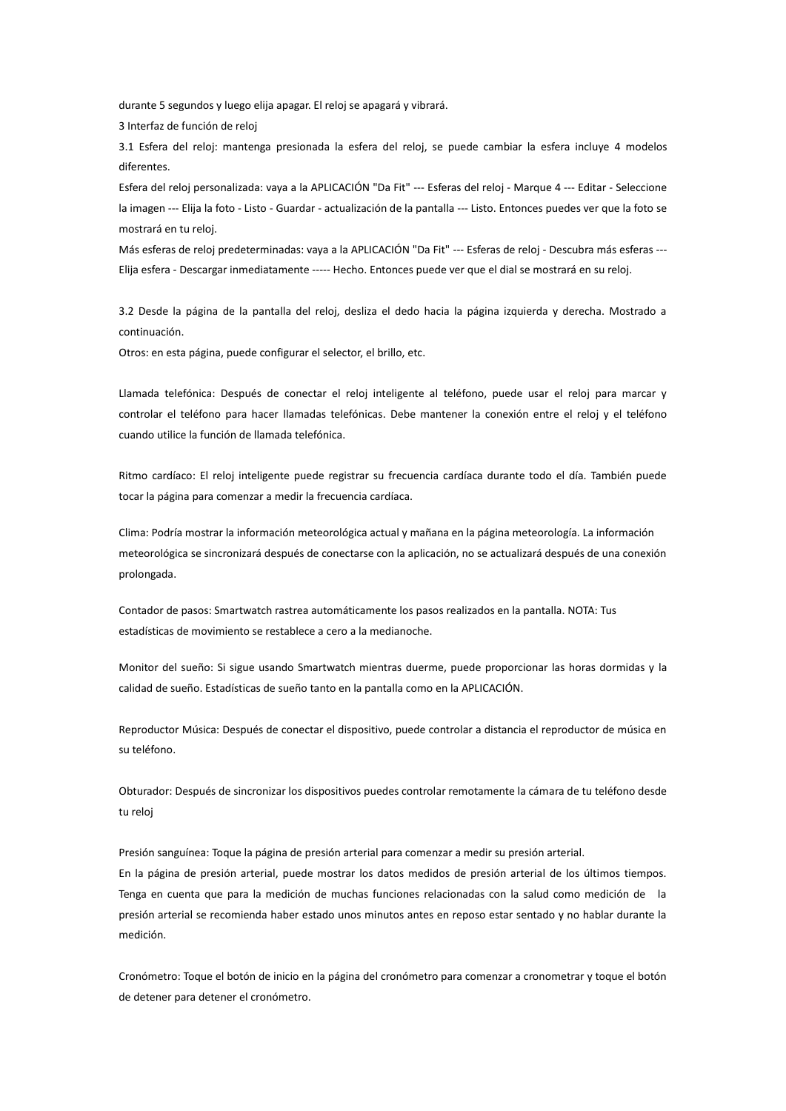durante 5 segundos y luego elija apagar. El reloj se apagará y vibrará.

3 Interfaz de función de reloj

3.1 Esfera del reloj: mantenga presionada la esfera del reloj, se puede cambiar la esfera incluye 4 modelos diferentes.

Esfera del reloj personalizada: vaya a la APLICACIÓN "Da Fit" --- Esferas del reloj - Marque 4 --- Editar - Seleccione la imagen --- Elija la foto - Listo - Guardar - actualización de la pantalla --- Listo. Entonces puedes ver que la foto se mostrará en tu reloj.

Más esferas de reloj predeterminadas: vaya a la APLICACIÓN "Da Fit" --- Esferas de reloj - Descubra más esferas ---Elija esfera - Descargar inmediatamente ----- Hecho. Entonces puede ver que el dial se mostrará en su reloj.

3.2 Desde la página de la pantalla del reloj, desliza el dedo hacia la página izquierda y derecha. Mostrado a continuación.

Otros: en esta página, puede configurar el selector, el brillo, etc.

Llamada telefónica: Después de conectar el reloj inteligente al teléfono, puede usar el reloj para marcar y controlar el teléfono para hacer llamadas telefónicas. Debe mantener la conexión entre el reloj y el teléfono cuando utilice la función de llamada telefónica.

Ritmo cardíaco: El reloj inteligente puede registrar su frecuencia cardíaca durante todo el día. También puede tocar la página para comenzar a medir la frecuencia cardíaca.

Clima: Podría mostrar la información meteorológica actual y mañana en la página meteorología. La información meteorológica se sincronizará después de conectarse con la aplicación, no se actualizará después de una conexión prolongada.

Contador de pasos: Smartwatch rastrea automáticamente los pasos realizados en la pantalla. NOTA: Tus estadísticas de movimiento se restablece a cero a la medianoche.

Monitor del sueño: Si sigue usando Smartwatch mientras duerme, puede proporcionar las horas dormidas y la calidad de sueño. Estadísticas de sueño tanto en la pantalla como en la APLICACIÓN.

Reproductor Música: Después de conectar el dispositivo, puede controlar a distancia el reproductor de música en su teléfono.

Obturador: Después de sincronizar los dispositivos puedes controlar remotamente la cámara de tu teléfono desde tu reloj

Presión sanguínea: Toque la página de presión arterial para comenzar a medir su presión arterial. En la página de presión arterial, puede mostrar los datos medidos de presión arterial de los últimos tiempos. Tenga en cuenta que para la medición de muchas funciones relacionadas con la salud como medición de la presión arterial se recomienda haber estado unos minutos antes en reposo estar sentado y no hablar durante la medición.

Cronómetro: Toque el botón de inicio en la página del cronómetro para comenzar a cronometrar y toque el botón de detener para detener el cronómetro.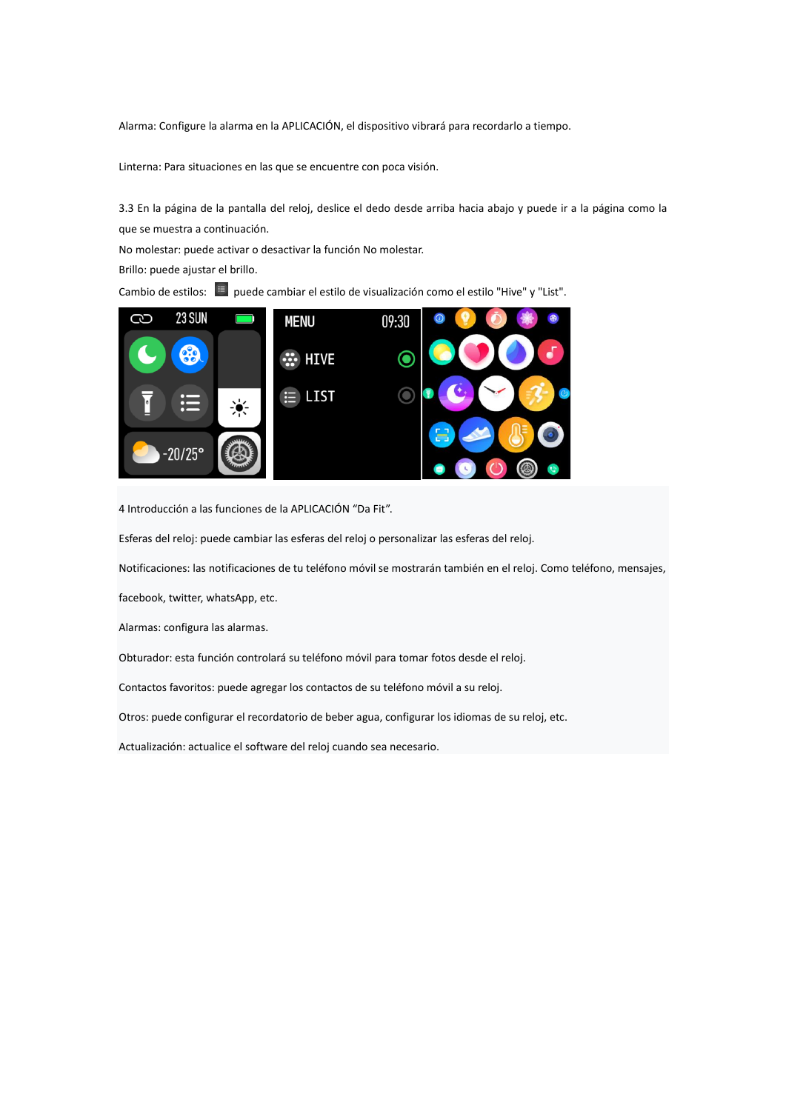Alarma: Configure la alarma en la APLICACIÓN, el dispositivo vibrará para recordarlo a tiempo.

Linterna: Para situaciones en las que se encuentre con poca visión.

3.3 En la página de la pantalla del reloj, deslice el dedo desde arriba hacia abajo y puede ir a la página como la que se muestra a continuación.

No molestar: puede activar o desactivar la función No molestar.

Brillo: puede ajustar el brillo.

Cambio de estilos: **E** puede cambiar el estilo de visualización como el estilo "Hive" y "List".



4 Introducción a las funciones de la APLICACIÓN "Da Fit".

Esferas del reloj: puede cambiar las esferas del reloj o personalizar las esferas del reloj.

Notificaciones: las notificaciones de tu teléfono móvil se mostrarán también en el reloj. Como teléfono, mensajes,

facebook, twitter, whatsApp, etc.

Alarmas: configura las alarmas.

Obturador: esta función controlará su teléfono móvil para tomar fotos desde el reloj.

Contactos favoritos: puede agregar los contactos de su teléfono móvil a su reloj.

Otros: puede configurar el recordatorio de beber agua, configurar los idiomas de su reloj, etc.

Actualización: actualice el software del reloj cuando sea necesario.